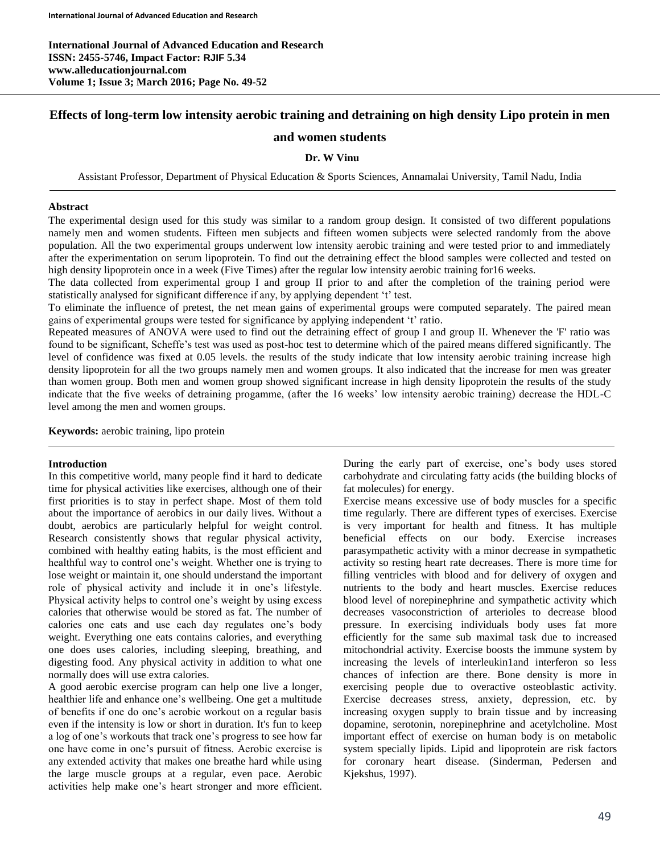**International Journal of Advanced Education and Research ISSN: 2455-5746, Impact Factor: RJIF 5.34 www.alleducationjournal.com Volume 1; Issue 3; March 2016; Page No. 49-52**

# **Effects of long-term low intensity aerobic training and detraining on high density Lipo protein in men**

# **and women students**

## **Dr. W Vinu**

Assistant Professor, Department of Physical Education & Sports Sciences, Annamalai University, Tamil Nadu, India

#### **Abstract**

The experimental design used for this study was similar to a random group design. It consisted of two different populations namely men and women students. Fifteen men subjects and fifteen women subjects were selected randomly from the above population. All the two experimental groups underwent low intensity aerobic training and were tested prior to and immediately after the experimentation on serum lipoprotein. To find out the detraining effect the blood samples were collected and tested on high density lipoprotein once in a week (Five Times) after the regular low intensity aerobic training for16 weeks.

The data collected from experimental group I and group II prior to and after the completion of the training period were statistically analysed for significant difference if any, by applying dependent 't' test.

To eliminate the influence of pretest, the net mean gains of experimental groups were computed separately. The paired mean gains of experimental groups were tested for significance by applying independent 't' ratio.

Repeated measures of ANOVA were used to find out the detraining effect of group I and group II. Whenever the 'F' ratio was found to be significant, Scheffe's test was used as post-hoc test to determine which of the paired means differed significantly. The level of confidence was fixed at 0.05 levels. the results of the study indicate that low intensity aerobic training increase high density lipoprotein for all the two groups namely men and women groups. It also indicated that the increase for men was greater than women group. Both men and women group showed significant increase in high density lipoprotein the results of the study indicate that the five weeks of detraining progamme, (after the 16 weeks' low intensity aerobic training) decrease the HDL-C level among the men and women groups.

**Keywords:** aerobic training, lipo protein

## **Introduction**

In this competitive world, many people find it hard to dedicate time for physical activities like exercises, although one of their first priorities is to stay in perfect shape. Most of them told about the importance of aerobics in our daily lives. Without a doubt, aerobics are particularly helpful for weight control. Research consistently shows that regular physical activity, combined with healthy eating habits, is the most efficient and healthful way to control one's weight. Whether one is trying to lose weight or maintain it, one should understand the important role of physical activity and include it in one's lifestyle. Physical activity helps to control one's weight by using excess calories that otherwise would be stored as fat. The number of calories one eats and use each day regulates one's body weight. Everything one eats contains calories, and everything one does uses calories, including sleeping, breathing, and digesting food. Any physical activity in addition to what one normally does will use extra calories.

A good aerobic exercise program can help one live a longer, healthier life and enhance one's wellbeing. One get a multitude of benefits if one do one's aerobic workout on a regular basis even if the intensity is low or short in duration. It's fun to keep a log of one's workouts that track one's progress to see how far one have come in one's pursuit of fitness. Aerobic exercise is any extended activity that makes one breathe hard while using the large muscle groups at a regular, even pace. Aerobic activities help make one's heart stronger and more efficient.

During the early part of exercise, one's body uses stored carbohydrate and circulating fatty acids (the building blocks of fat molecules) for energy.

Exercise means excessive use of body muscles for a specific time regularly. There are different types of exercises. Exercise is very important for health and fitness. It has multiple beneficial effects on our body. Exercise increases parasympathetic activity with a minor decrease in sympathetic activity so resting heart rate decreases. There is more time for filling ventricles with blood and for delivery of oxygen and nutrients to the body and heart muscles. Exercise reduces blood level of norepinephrine and sympathetic activity which decreases vasoconstriction of arterioles to decrease blood pressure. In exercising individuals body uses fat more efficiently for the same sub maximal task due to increased mitochondrial activity. Exercise boosts the immune system by increasing the levels of interleukin1and interferon so less chances of infection are there. Bone density is more in exercising people due to overactive osteoblastic activity. Exercise decreases stress, anxiety, depression, etc. by increasing oxygen supply to brain tissue and by increasing dopamine, serotonin, norepinephrine and acetylcholine. Most important effect of exercise on human body is on metabolic system specially lipids. Lipid and lipoprotein are risk factors for coronary heart disease. (Sinderman, Pedersen and Kjekshus, 1997).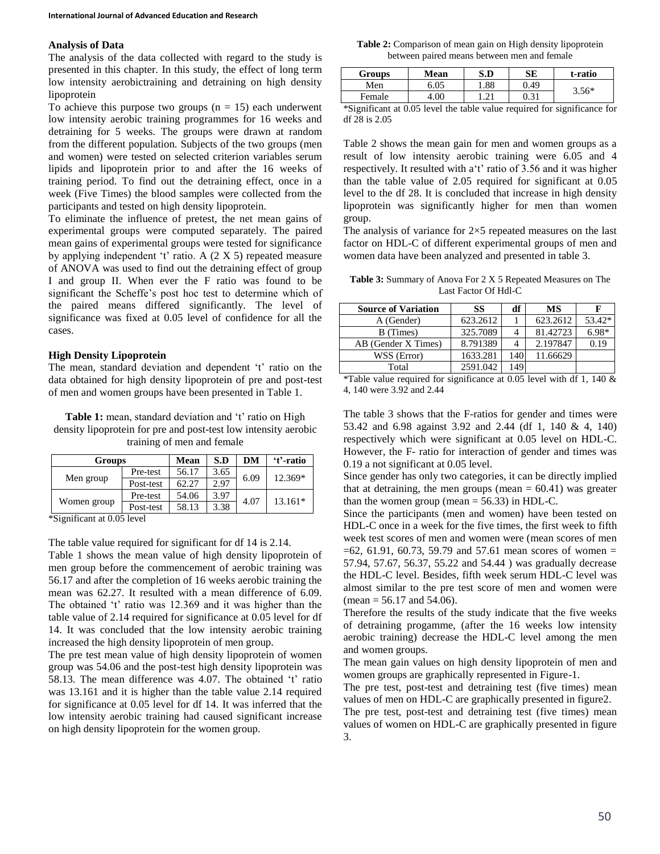## **Analysis of Data**

The analysis of the data collected with regard to the study is presented in this chapter. In this study, the effect of long term low intensity aerobictraining and detraining on high density lipoprotein

To achieve this purpose two groups  $(n = 15)$  each underwent low intensity aerobic training programmes for 16 weeks and detraining for 5 weeks. The groups were drawn at random from the different population. Subjects of the two groups (men and women) were tested on selected criterion variables serum lipids and lipoprotein prior to and after the 16 weeks of training period. To find out the detraining effect, once in a week (Five Times) the blood samples were collected from the participants and tested on high density lipoprotein.

To eliminate the influence of pretest, the net mean gains of experimental groups were computed separately. The paired mean gains of experimental groups were tested for significance by applying independent 't' ratio. A (2 X 5) repeated measure of ANOVA was used to find out the detraining effect of group I and group II. When ever the F ratio was found to be significant the Scheffe's post hoc test to determine which of the paired means differed significantly. The level of significance was fixed at 0.05 level of confidence for all the cases.

## **High Density Lipoprotein**

The mean, standard deviation and dependent 't' ratio on the data obtained for high density lipoprotein of pre and post-test of men and women groups have been presented in Table 1.

Table 1: mean, standard deviation and 't' ratio on High density lipoprotein for pre and post-test low intensity aerobic training of men and female

| <b>Groups</b> |           | Mean  | S.D  | DM   | 't'-ratio |
|---------------|-----------|-------|------|------|-----------|
| Men group     | Pre-test  | 56.17 | 3.65 | 6.09 | 12.369*   |
|               | Post-test | 62.27 | 2.97 |      |           |
| Women group   | Pre-test  | 54.06 | 3.97 | 4.07 | $13.161*$ |
|               | Post-test | 58.13 | 3.38 |      |           |

\*Significant at 0.05 level

The table value required for significant for df 14 is 2.14.

Table 1 shows the mean value of high density lipoprotein of men group before the commencement of aerobic training was 56.17 and after the completion of 16 weeks aerobic training the mean was 62.27. It resulted with a mean difference of 6.09. The obtained 't' ratio was 12.369 and it was higher than the table value of 2.14 required for significance at 0.05 level for df 14. It was concluded that the low intensity aerobic training increased the high density lipoprotein of men group.

The pre test mean value of high density lipoprotein of women group was 54.06 and the post-test high density lipoprotein was 58.13. The mean difference was 4.07. The obtained 't' ratio was 13.161 and it is higher than the table value 2.14 required for significance at 0.05 level for df 14. It was inferred that the low intensity aerobic training had caused significant increase on high density lipoprotein for the women group.

**Table 2:** Comparison of mean gain on High density lipoprotein between paired means between men and female

| <b>Groups</b> | Mean | S.D         | SЕ   | t-ratio |  |
|---------------|------|-------------|------|---------|--|
| Men           | 6.05 | .88         | 0.49 | $3.56*$ |  |
| Female        | 4.00 | $\bigcap$ 1 | 0.31 |         |  |

\*Significant at 0.05 level the table value required for significance for df 28 is 2.05

Table 2 shows the mean gain for men and women groups as a result of low intensity aerobic training were 6.05 and 4 respectively. It resulted with a't' ratio of 3.56 and it was higher than the table value of 2.05 required for significant at 0.05 level to the df 28. It is concluded that increase in high density lipoprotein was significantly higher for men than women group.

The analysis of variance for  $2\times 5$  repeated measures on the last factor on HDL-C of different experimental groups of men and women data have been analyzed and presented in table 3.

**Table 3:** Summary of Anova For 2 X 5 Repeated Measures on The Last Factor Of Hdl-C

| <b>Source of Variation</b> | SS       | df  | <b>MS</b> | F       |
|----------------------------|----------|-----|-----------|---------|
| A (Gender)                 | 623.2612 |     | 623.2612  | 53.42*  |
| B (Times)                  | 325.7089 | 4   | 81.42723  | $6.98*$ |
| AB (Gender X Times)        | 8.791389 | 4   | 2.197847  | 0.19    |
| WSS (Error)                | 1633.281 | 140 | 11.66629  |         |
| Total                      | 2591.042 | 149 |           |         |

\*Table value required for significance at 0.05 level with df 1, 140  $\&$ 4, 140 were 3.92 and 2.44

The table 3 shows that the F-ratios for gender and times were 53.42 and 6.98 against 3.92 and 2.44 (df 1, 140 & 4, 140) respectively which were significant at 0.05 level on HDL-C. However, the F- ratio for interaction of gender and times was 0.19 a not significant at 0.05 level.

Since gender has only two categories, it can be directly implied that at detraining, the men groups (mean  $= 60.41$ ) was greater than the women group (mean  $= 56.33$ ) in HDL-C.

Since the participants (men and women) have been tested on HDL-C once in a week for the five times, the first week to fifth week test scores of men and women were (mean scores of men  $=62, 61.91, 60.73, 59.79$  and 57.61 mean scores of women = 57.94, 57.67, 56.37, 55.22 and 54.44 ) was gradually decrease the HDL-C level. Besides, fifth week serum HDL-C level was almost similar to the pre test score of men and women were  $(\text{mean} = 56.17 \text{ and } 54.06).$ 

Therefore the results of the study indicate that the five weeks of detraining progamme, (after the 16 weeks low intensity aerobic training) decrease the HDL-C level among the men and women groups.

The mean gain values on high density lipoprotein of men and women groups are graphically represented in Figure-1.

The pre test, post-test and detraining test (five times) mean values of men on HDL-C are graphically presented in figure2.

The pre test, post-test and detraining test (five times) mean values of women on HDL-C are graphically presented in figure 3.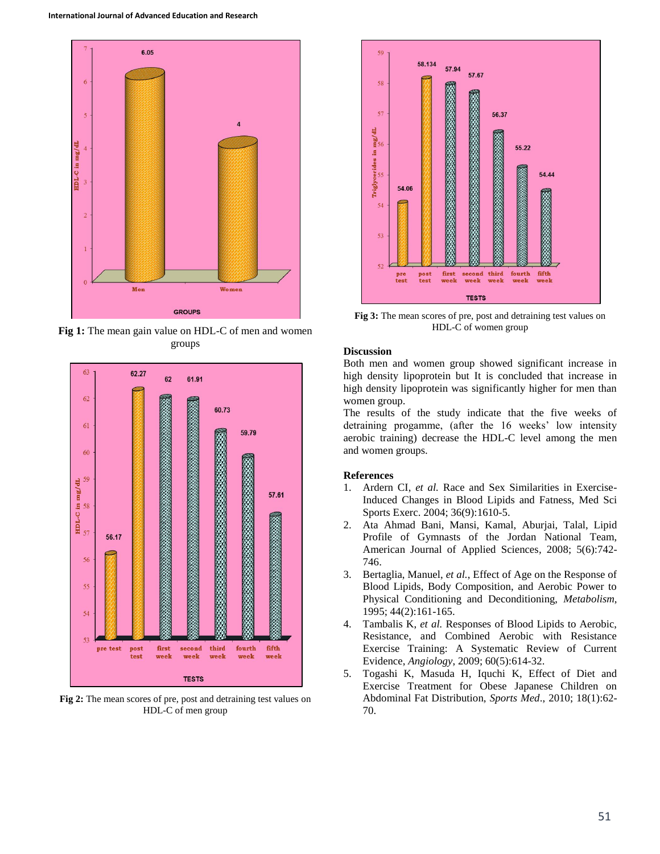

**Fig 1:** The mean gain value on HDL-C of men and women groups



**Fig 2:** The mean scores of pre, post and detraining test values on HDL-C of men group



**Fig 3:** The mean scores of pre, post and detraining test values on HDL-C of women group

## **Discussion**

Both men and women group showed significant increase in high density lipoprotein but It is concluded that increase in high density lipoprotein was significantly higher for men than women group.

The results of the study indicate that the five weeks of detraining progamme, (after the 16 weeks' low intensity aerobic training) decrease the HDL-C level among the men and women groups.

#### **References**

- 1. Ardern CI, *et al.* Race and Sex Similarities in Exercise-Induced Changes in Blood Lipids and Fatness, Med Sci Sports Exerc. 2004; 36(9):1610-5.
- 2. Ata Ahmad Bani, Mansi, Kamal, Aburjai, Talal, Lipid Profile of Gymnasts of the Jordan National Team, American Journal of Applied Sciences*,* 2008; 5(6):742- 746.
- 3. Bertaglia, Manuel, *et al.*, Effect of Age on the Response of Blood Lipids, Body Composition, and Aerobic Power to Physical Conditioning and Deconditioning, *Metabolism*, 1995; 44(2):161-165.
- 4. Tambalis K, *et al.* Responses of Blood Lipids to Aerobic, Resistance, and Combined Aerobic with Resistance Exercise Training: A Systematic Review of Current Evidence, *Angiology*, 2009; 60(5):614-32.
- 5. Togashi K, Masuda H, Iquchi K, Effect of Diet and Exercise Treatment for Obese Japanese Children on Abdominal Fat Distribution, *Sports Med*., 2010; 18(1):62- 70.